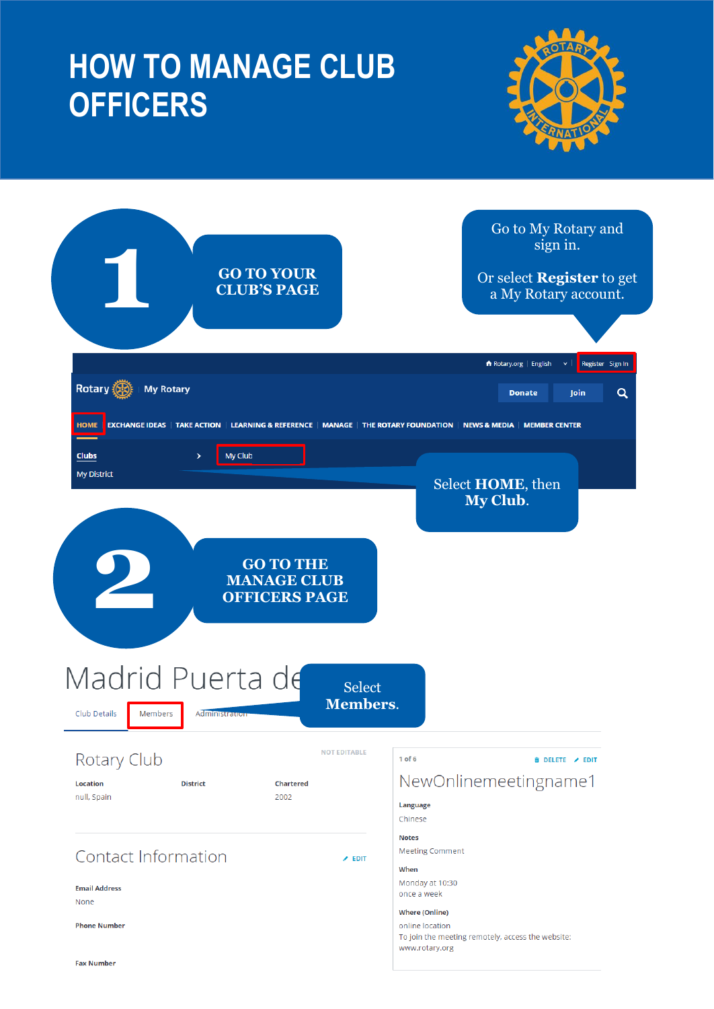### **HOW TO MANAGE CLUB OFFICERS**



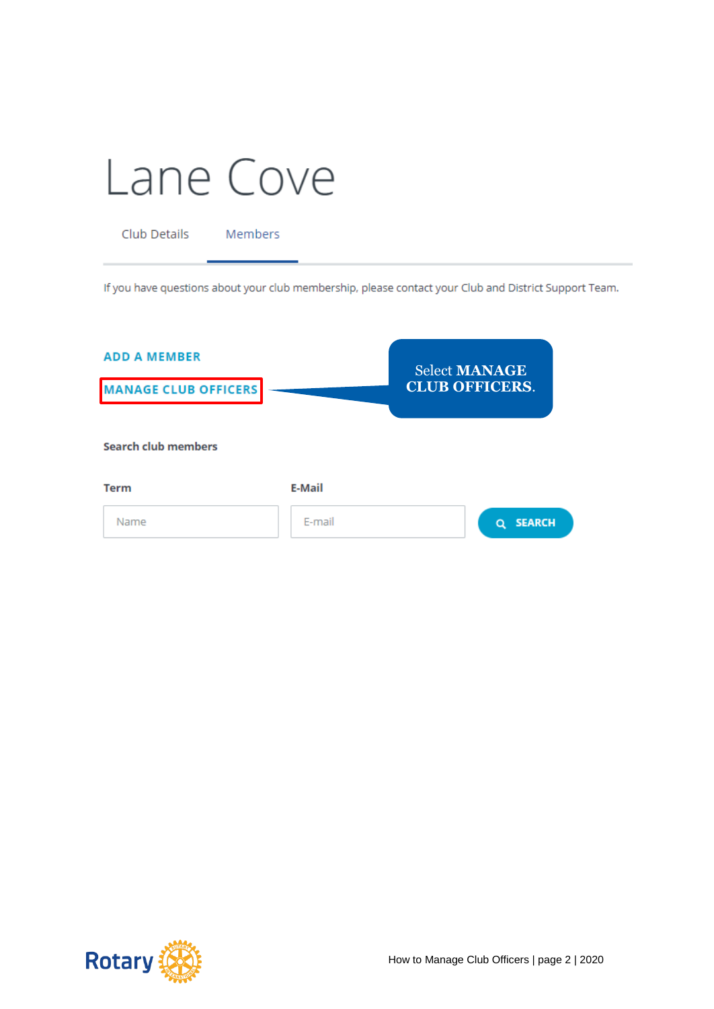| Lane Cove |  |
|-----------|--|
|-----------|--|

Club Details Members

If you have questions about your club membership, please contact your Club and District Support Team.

| <b>ADD A MEMBER</b><br><b>MANAGE CLUB OFFICERS</b> |               | <b>Select MANAGE</b><br><b>CLUB OFFICERS.</b> |
|----------------------------------------------------|---------------|-----------------------------------------------|
| <b>Search club members</b>                         |               |                                               |
| <b>Term</b>                                        | <b>E-Mail</b> |                                               |
| Name                                               | E-mail        | <b>SEARCH</b><br>a                            |

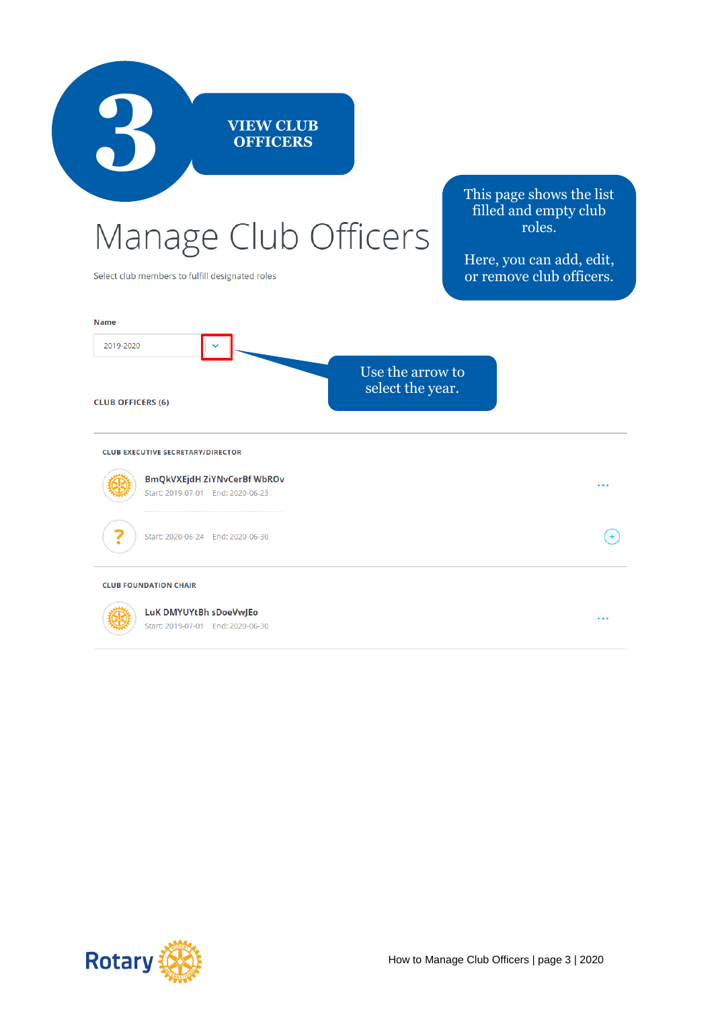

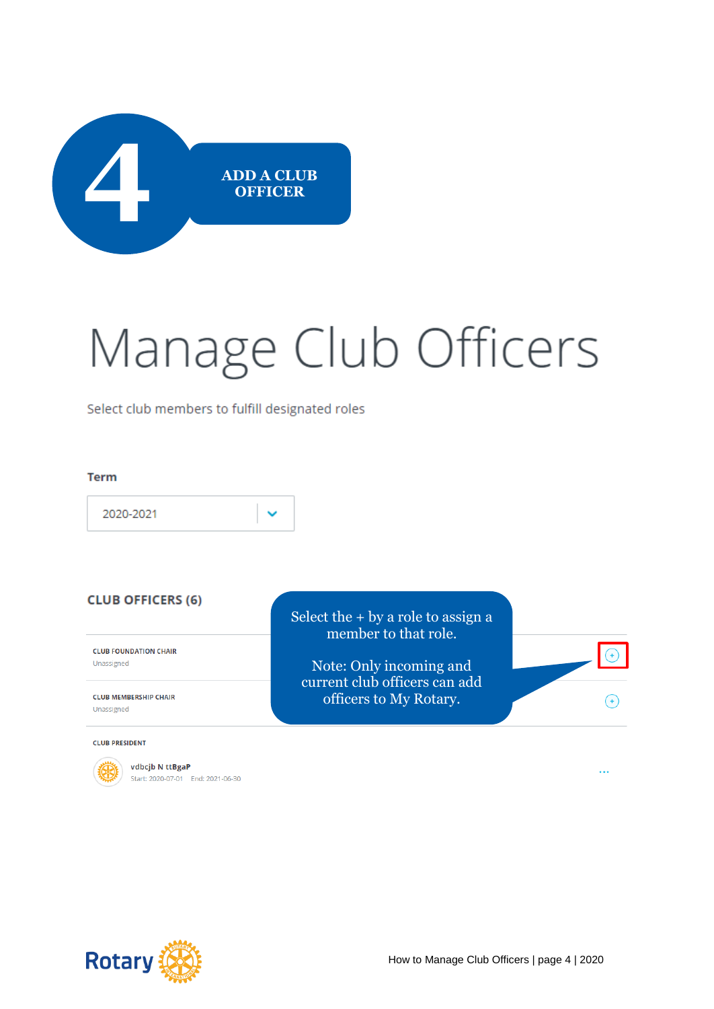

# Manage Club Officers

Select club members to fulfill designated roles

#### **Term**

2020-2021

#### **CLUB OFFICERS (6)**

**CLUB FOUNDATION CHAIR** Unassigned

**CLUB MEMBERSHIP CHAIR** Unassigned

**CLUB PRESIDENT** 



vdbcjb N ttBgaP Start: 2020-07-01 End: 2021-06-30 Select the + by a role to assign a member to that role.

Note: Only incoming and current club officers can add officers to My Rotary.

**Rotary** 

 $\left( \begin{matrix} + \end{matrix} \right)$ 

 $\ddotsc$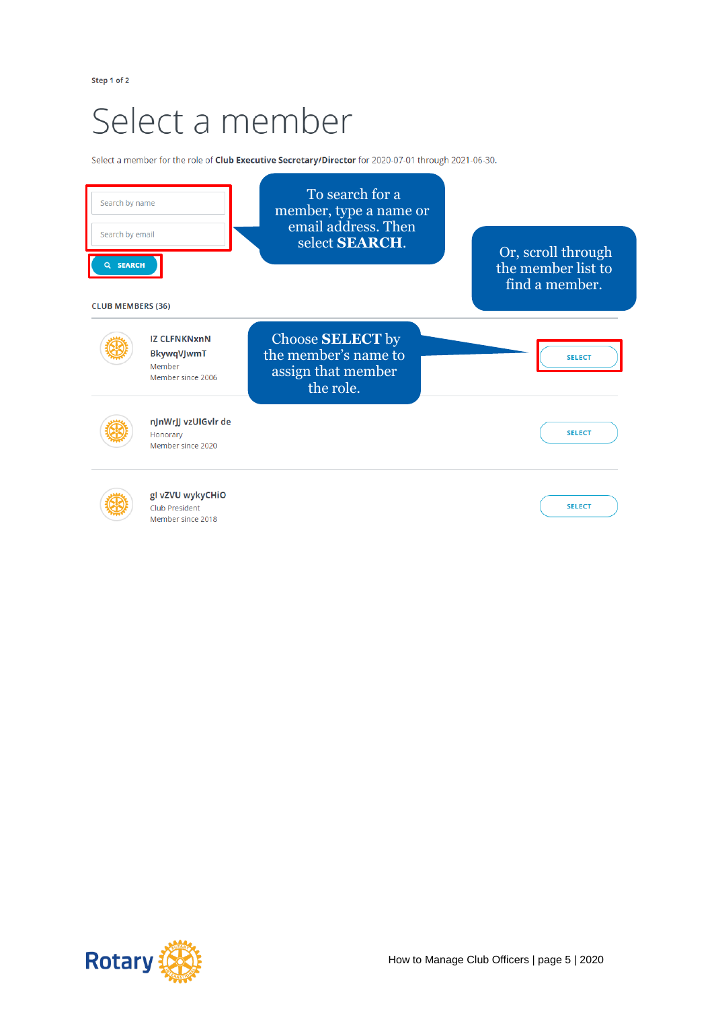### Select a member

Select a member for the role of Club Executive Secretary/Director for 2020-07-01 through 2021-06-30.



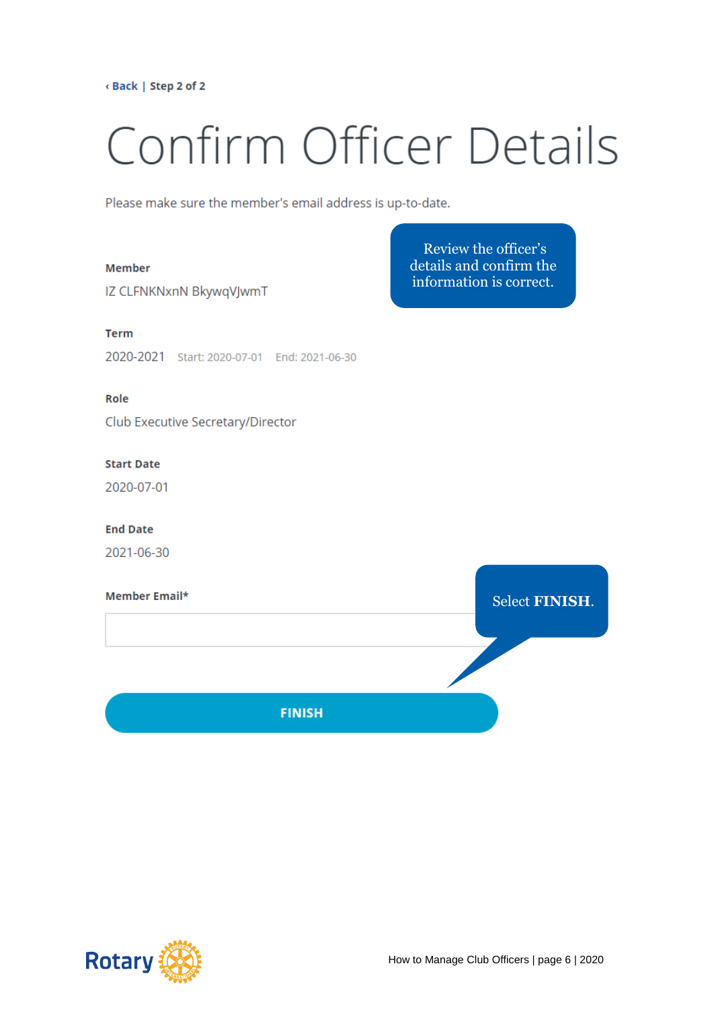<Back | Step 2 of 2

# Confirm Officer Details

Review the officer's details and confirm the

information is correct.

Please make sure the member's email address is up-to-date.

#### **Member**

IZ CLFNKNxnN BkywqVJwmT

#### **Term**

2020-2021 Start: 2020-07-01 End: 2021-06-30

#### Role

Club Executive Secretary/Director

#### **Start Date**

2020-07-01

#### **End Date**

2021-06-30

## Member Email\* **Select FINISH. FINISH**

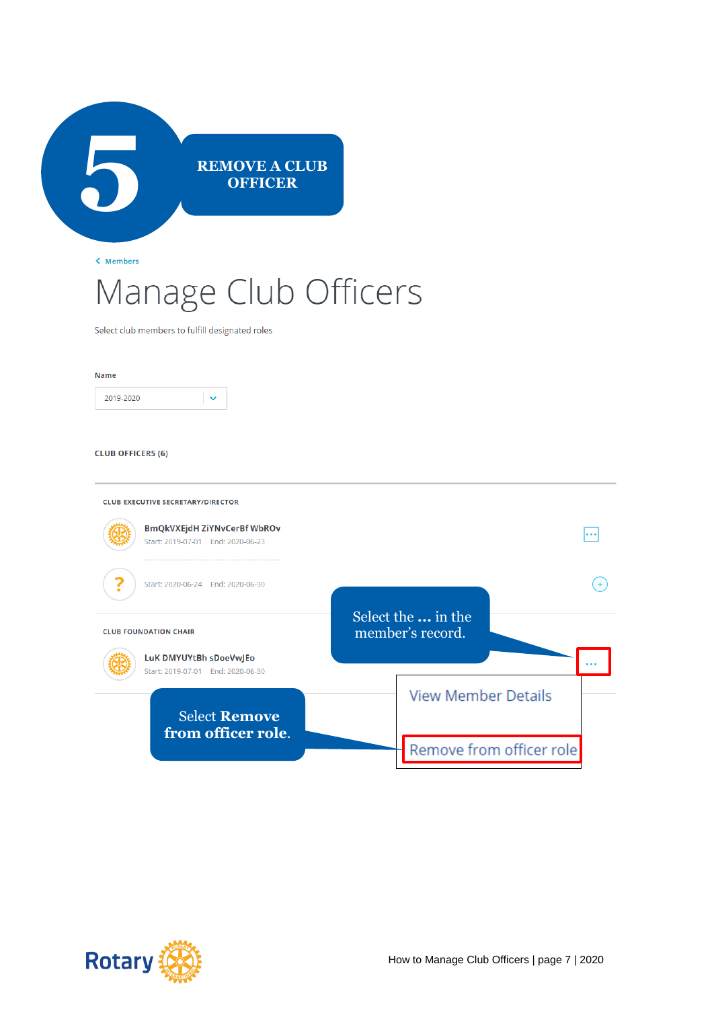

< Members

### Manage Club Officers

Select club members to fulfill designated roles

#### Name



#### **CLUB OFFICERS (6)**